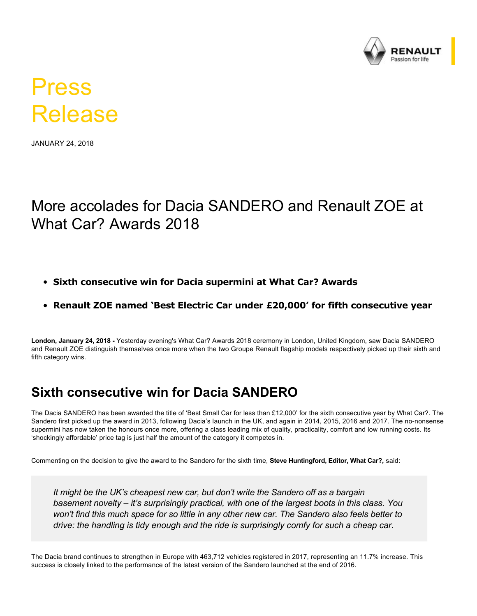

# Press Release

JANUARY 24, 2018

## More accolades for Dacia SANDERO and Renault ZOE at What Car? Awards 2018

- **Sixth consecutive win for Dacia supermini at What Car? Awards**
- **Renault ZOE named 'Best Electric Car under £20,000' for fifth consecutive year**

**London, January 24, 2018**  Yesterday evening's What Car? Awards 2018 ceremony in London, United Kingdom, saw Dacia SANDERO and Renault ZOE distinguish themselves once more when the two Groupe Renault flagship models respectively picked up their sixth and fifth category wins.

#### **Sixth consecutive win for Dacia SANDERO**

The Dacia SANDERO has been awarded the title of 'Best Small Car for less than £12,000' for the sixth consecutive year by What Car?. The Sandero first picked up the award in 2013, following Dacia's launch in the UK, and again in 2014, 2015, 2016 and 2017. The nononsense supermini has now taken the honours once more, offering a class leading mix of quality, practicality, comfort and low running costs. Its 'shockingly affordable' price tag is just half the amount of the category it competes in.

Commenting on the decision to give the award to the Sandero for the sixth time, **Steve Huntingford, Editor, What Car?,** said:

*It might be the UK's cheapest new car, but don't write the Sandero off as a bargain basement novelty – it's surprisingly practical, with one of the largest boots in this class. You won't find this much space for so little in any other new car. The Sandero also feels better to drive: the handling is tidy enough and the ride is surprisingly comfy for such a cheap car.*

The Dacia brand continues to strengthen in Europe with 463,712 vehicles registered in 2017, representing an 11.7% increase. This success is closely linked to the performance of the latest version of the Sandero launched at the end of 2016.